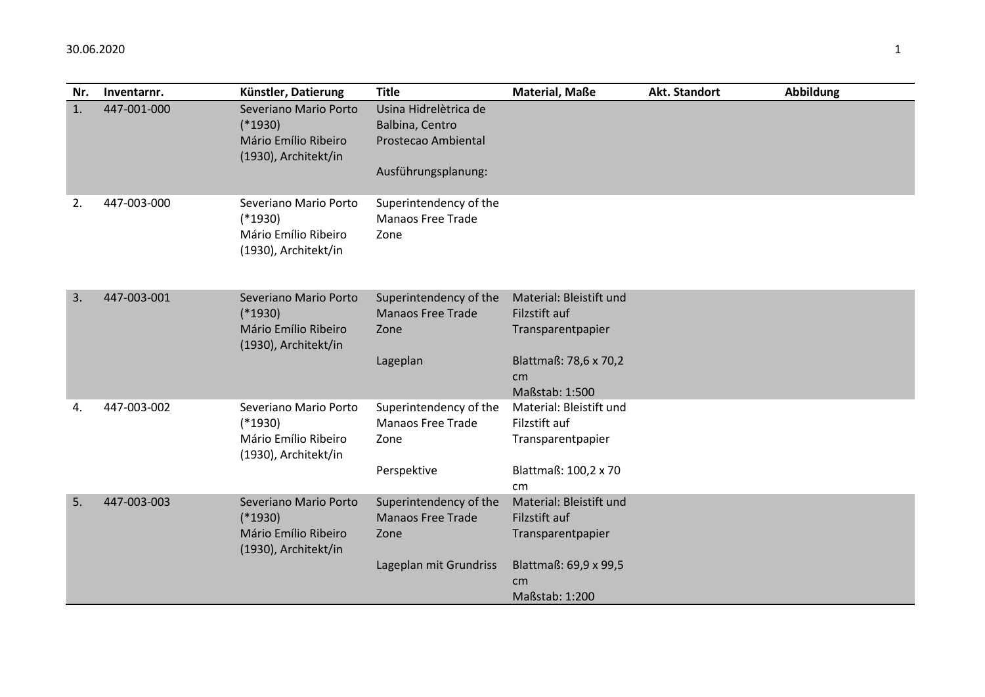| Nr. | Inventarnr. | Künstler, Datierung                                                                | <b>Title</b>                                               | <b>Material, Maße</b>   | Akt. Standort | Abbildung |
|-----|-------------|------------------------------------------------------------------------------------|------------------------------------------------------------|-------------------------|---------------|-----------|
| 1.  | 447-001-000 | Severiano Mario Porto                                                              | Usina Hidrelètrica de                                      |                         |               |           |
|     |             | $(*1930)$                                                                          | Balbina, Centro                                            |                         |               |           |
|     |             | Mário Emílio Ribeiro<br>(1930), Architekt/in                                       | Prostecao Ambiental                                        |                         |               |           |
|     |             |                                                                                    | Ausführungsplanung:                                        |                         |               |           |
| 2.  | 447-003-000 | Severiano Mario Porto<br>$(*1930)$<br>Mário Emílio Ribeiro<br>(1930), Architekt/in | Superintendency of the<br><b>Manaos Free Trade</b><br>Zone |                         |               |           |
| 3.  | 447-003-001 | Severiano Mario Porto                                                              | Superintendency of the                                     | Material: Bleistift und |               |           |
|     |             | $(*1930)$                                                                          | <b>Manaos Free Trade</b>                                   | Filzstift auf           |               |           |
|     |             | Mário Emílio Ribeiro<br>(1930), Architekt/in                                       | Zone                                                       | Transparentpapier       |               |           |
|     |             |                                                                                    | Lageplan                                                   | Blattmaß: 78,6 x 70,2   |               |           |
|     |             |                                                                                    |                                                            | cm <sub>1</sub>         |               |           |
|     |             |                                                                                    |                                                            | Maßstab: 1:500          |               |           |
| 4.  | 447-003-002 | Severiano Mario Porto                                                              | Superintendency of the                                     | Material: Bleistift und |               |           |
|     |             | $(*1930)$                                                                          | <b>Manaos Free Trade</b>                                   | Filzstift auf           |               |           |
|     |             | Mário Emílio Ribeiro<br>(1930), Architekt/in                                       | Zone                                                       | Transparentpapier       |               |           |
|     |             |                                                                                    | Perspektive                                                | Blattmaß: 100,2 x 70    |               |           |
|     |             |                                                                                    |                                                            | cm                      |               |           |
| 5.  | 447-003-003 | Severiano Mario Porto                                                              | Superintendency of the                                     | Material: Bleistift und |               |           |
|     |             | $(*1930)$                                                                          | <b>Manaos Free Trade</b>                                   | Filzstift auf           |               |           |
|     |             | Mário Emílio Ribeiro<br>(1930), Architekt/in                                       | Zone                                                       | Transparentpapier       |               |           |
|     |             |                                                                                    | Lageplan mit Grundriss                                     | Blattmaß: 69,9 x 99,5   |               |           |
|     |             |                                                                                    |                                                            | cm                      |               |           |
|     |             |                                                                                    |                                                            | Maßstab: 1:200          |               |           |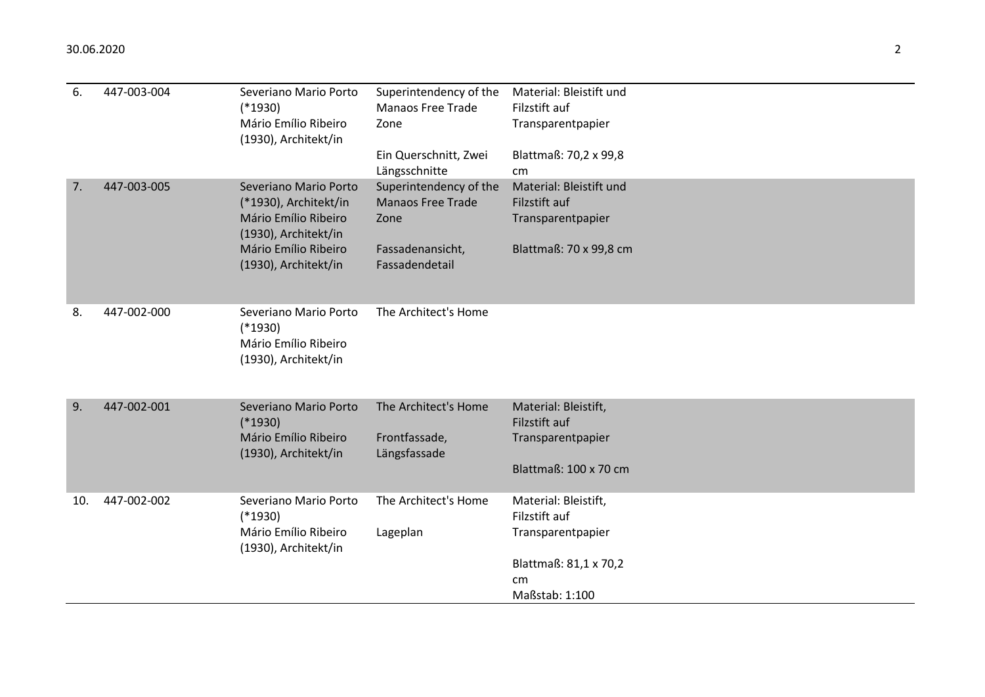| 6.  | 447-003-004 | Severiano Mario Porto<br>$(*1930)$<br>Mário Emílio Ribeiro<br>(1930), Architekt/in                                                             | Superintendency of the<br><b>Manaos Free Trade</b><br>Zone<br>Ein Querschnitt, Zwei<br>Längsschnitte | Material: Bleistift und<br>Filzstift auf<br>Transparentpapier<br>Blattmaß: 70,2 x 99,8<br>cm                |
|-----|-------------|------------------------------------------------------------------------------------------------------------------------------------------------|------------------------------------------------------------------------------------------------------|-------------------------------------------------------------------------------------------------------------|
| 7.  | 447-003-005 | Severiano Mario Porto<br>(*1930), Architekt/in<br>Mário Emílio Ribeiro<br>(1930), Architekt/in<br>Mário Emílio Ribeiro<br>(1930), Architekt/in | Superintendency of the<br><b>Manaos Free Trade</b><br>Zone<br>Fassadenansicht,<br>Fassadendetail     | Material: Bleistift und<br>Filzstift auf<br>Transparentpapier<br>Blattmaß: 70 x 99,8 cm                     |
| 8.  | 447-002-000 | Severiano Mario Porto<br>$(*1930)$<br>Mário Emílio Ribeiro<br>(1930), Architekt/in                                                             | The Architect's Home                                                                                 |                                                                                                             |
| 9.  | 447-002-001 | Severiano Mario Porto<br>$(*1930)$<br>Mário Emílio Ribeiro<br>(1930), Architekt/in                                                             | The Architect's Home<br>Frontfassade,<br>Längsfassade                                                | Material: Bleistift,<br>Filzstift auf<br>Transparentpapier<br>Blattmaß: 100 x 70 cm                         |
| 10. | 447-002-002 | Severiano Mario Porto<br>$(*1930)$<br>Mário Emílio Ribeiro<br>(1930), Architekt/in                                                             | The Architect's Home<br>Lageplan                                                                     | Material: Bleistift,<br>Filzstift auf<br>Transparentpapier<br>Blattmaß: 81,1 x 70,2<br>cm<br>Maßstab: 1:100 |